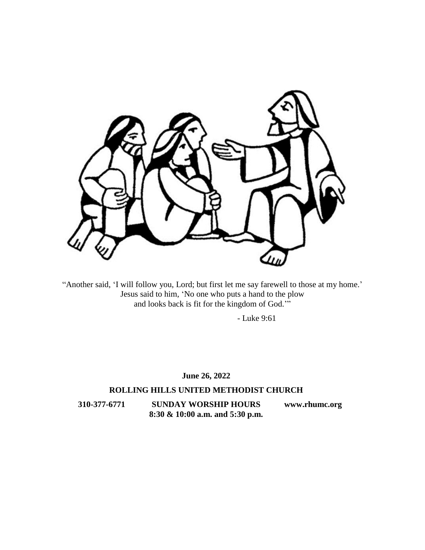

"Another said, 'I will follow you, Lord; but first let me say farewell to those at my home.' Jesus said to him, 'No one who puts a hand to the plow and looks back is fit for the kingdom of God.'"

- Luke 9:61

### **June 26, 2022**

### **ROLLING HILLS UNITED METHODIST CHURCH**

**310-377-6771 SUNDAY WORSHIP HOURS [www.rhumc.org](http://www.rhumc.org/) 8:30 & 10:00 a.m. and 5:30 p.m.**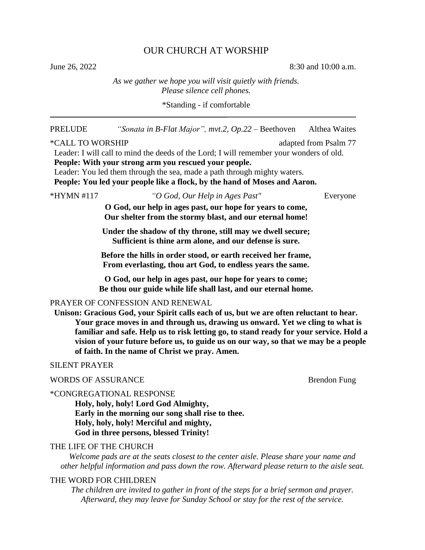## OUR CHURCH AT WORSHIP

June 26, 2022 8:30 and 10:00 a.m.

### *As we gather we hope you will visit quietly with friends. Please silence cell phones.*

\*Standing - if comfortable

| <b>PRELUDE</b>            | "Sonata in B-Flat Major", mvt.2, $Op.22 - Beethoven$ Althea Waites                                                                                                                                                                                                                                                                                                                                                                               |                       |
|---------------------------|--------------------------------------------------------------------------------------------------------------------------------------------------------------------------------------------------------------------------------------------------------------------------------------------------------------------------------------------------------------------------------------------------------------------------------------------------|-----------------------|
| *CALL TO WORSHIP          | Leader: I will call to mind the deeds of the Lord; I will remember your wonders of old.<br>People: With your strong arm you rescued your people.<br>Leader: You led them through the sea, made a path through mighty waters.<br>People: You led your people like a flock, by the hand of Moses and Aaron.                                                                                                                                        | adapted from Psalm 77 |
| *HYMN #117                | "O God, Our Help in Ages Past"                                                                                                                                                                                                                                                                                                                                                                                                                   | Everyone              |
|                           | O God, our help in ages past, our hope for years to come,<br>Our shelter from the stormy blast, and our eternal home!                                                                                                                                                                                                                                                                                                                            |                       |
|                           | Under the shadow of thy throne, still may we dwell secure;<br>Sufficient is thine arm alone, and our defense is sure.                                                                                                                                                                                                                                                                                                                            |                       |
|                           | Before the hills in order stood, or earth received her frame,<br>From everlasting, thou art God, to endless years the same.                                                                                                                                                                                                                                                                                                                      |                       |
|                           | O God, our help in ages past, our hope for years to come;<br>Be thou our guide while life shall last, and our eternal home.                                                                                                                                                                                                                                                                                                                      |                       |
|                           | PRAYER OF CONFESSION AND RENEWAL<br>Unison: Gracious God, your Spirit calls each of us, but we are often reluctant to hear.<br>Your grace moves in and through us, drawing us onward. Yet we cling to what is<br>familiar and safe. Help us to risk letting go, to stand ready for your service. Hold a<br>vision of your future before us, to guide us on our way, so that we may be a people<br>of faith. In the name of Christ we pray. Amen. |                       |
| <b>SILENT PRAYER</b>      |                                                                                                                                                                                                                                                                                                                                                                                                                                                  |                       |
| <b>WORDS OF ASSURANCE</b> |                                                                                                                                                                                                                                                                                                                                                                                                                                                  | <b>Brendon Fung</b>   |
|                           | *CONGREGATIONAL RESPONSE<br>Holy, holy, holy! Lord God Almighty,<br>Early in the morning our song shall rise to thee.<br>Holy, holy, holy! Merciful and mighty,<br>God in three persons, blessed Trinity!                                                                                                                                                                                                                                        |                       |
| THE LIFE OF THE CHURCH    | Welcome pads are at the seats closest to the center aisle. Please share your name and<br>other helpful information and pass down the row. Afterward please return to the aisle seat.                                                                                                                                                                                                                                                             |                       |
| THE WORD FOR CHILDREN     | The children are invited to gather in front of the steps for a brief sermon and prayer.                                                                                                                                                                                                                                                                                                                                                          |                       |

*Afterward, they may leave for Sunday School or stay for the rest of the service.*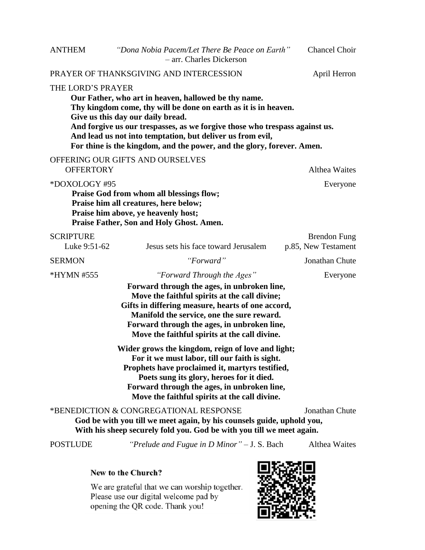# PRAYER OF THANKSGIVING AND INTERCESSION April Herron

### THE LORD'S PRAYER

**Our Father, who art in heaven, hallowed be thy name. Thy kingdom come, thy will be done on earth as it is in heaven. Give us this day our daily bread. And forgive us our trespasses, as we forgive those who trespass against us. And lead us not into temptation, but deliver us from evil, For thine is the kingdom, and the power, and the glory, forever. Amen.**

### OFFERING OUR GIFTS AND OURSELVES

OFFERTORY Althea Waites \*DOXOLOGY #95 Everyone **Praise God from whom all blessings flow; Praise him all creatures, here below; Praise him above, ye heavenly host; Praise Father, Son and Holy Ghost. Amen.** SCRIPTURE **Brendon** Fung Luke 9:51-62 Jesus sets his face toward Jerusalem p.85, New Testament SERMON *"Forward"* Jonathan Chute \*HYMN #555 *"Forward Through the Ages"* Everyone **Forward through the ages, in unbroken line, Move the faithful spirits at the call divine; Gifts in differing measure, hearts of one accord,**

**Manifold the service, one the sure reward. Forward through the ages, in unbroken line, Move the faithful spirits at the call divine.**

**Wider grows the kingdom, reign of love and light; For it we must labor, till our faith is sight. Prophets have proclaimed it, martyrs testified, Poets sung its glory, heroes for it died. Forward through the ages, in unbroken line, Move the faithful spirits at the call divine.**

\*BENEDICTION & CONGREGATIONAL RESPONSE Jonathan Chute **God be with you till we meet again, by his counsels guide, uphold you, With his sheep securely fold you. God be with you till we meet again.**

POSTLUDE *"Prelude and Fugue in D Minor"* – J. S. Bach Althea Waites

#### New to the Church?

We are grateful that we can worship together. Please use our digital welcome pad by opening the QR code. Thank you!